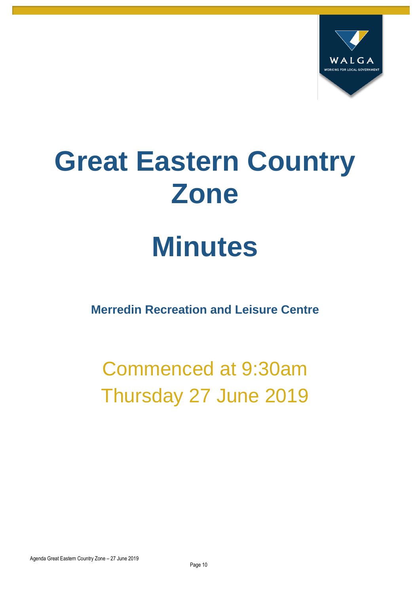

# **Great Eastern Country Zone**

## **Minutes**

**Merredin Recreation and Leisure Centre**

Commenced at 9:30am Thursday 27 June 2019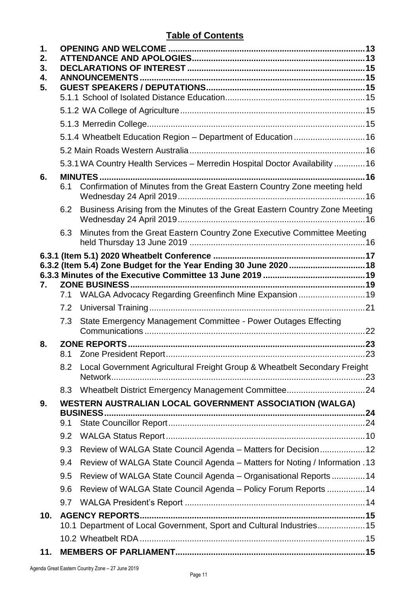#### **Table of Contents**

| $\mathbf 1$ .<br>2.<br>3.<br>4.<br>5. |                                                                             |                                                                              |  |  |  |
|---------------------------------------|-----------------------------------------------------------------------------|------------------------------------------------------------------------------|--|--|--|
|                                       |                                                                             |                                                                              |  |  |  |
|                                       |                                                                             |                                                                              |  |  |  |
|                                       |                                                                             |                                                                              |  |  |  |
|                                       |                                                                             | 5.1.4 Wheatbelt Education Region - Department of Education 16                |  |  |  |
|                                       |                                                                             |                                                                              |  |  |  |
|                                       |                                                                             | 5.3.1 WA Country Health Services - Merredin Hospital Doctor Availability  16 |  |  |  |
| 6.                                    | 6.1                                                                         | Confirmation of Minutes from the Great Eastern Country Zone meeting held     |  |  |  |
|                                       | 6.2                                                                         | Business Arising from the Minutes of the Great Eastern Country Zone Meeting  |  |  |  |
|                                       | 6.3                                                                         | Minutes from the Great Eastern Country Zone Executive Committee Meeting      |  |  |  |
| 7.                                    |                                                                             | 7.1 WALGA Advocacy Regarding Greenfinch Mine Expansion  19                   |  |  |  |
|                                       |                                                                             |                                                                              |  |  |  |
|                                       | 7.3                                                                         | State Emergency Management Committee - Power Outages Effecting               |  |  |  |
| 8.                                    |                                                                             |                                                                              |  |  |  |
|                                       | 8.2                                                                         | Local Government Agricultural Freight Group & Wheatbelt Secondary Freight    |  |  |  |
|                                       | 8.3                                                                         | Wheatbelt District Emergency Management Committee24                          |  |  |  |
| 9.                                    | WESTERN AUSTRALIAN LOCAL GOVERNMENT ASSOCIATION (WALGA)<br><b>BUSINESS.</b> |                                                                              |  |  |  |
|                                       | 9.1                                                                         |                                                                              |  |  |  |
|                                       | 9.2                                                                         |                                                                              |  |  |  |
|                                       | 9.3                                                                         | Review of WALGA State Council Agenda – Matters for Decision12                |  |  |  |
|                                       | 9.4                                                                         | Review of WALGA State Council Agenda - Matters for Noting / Information .13  |  |  |  |
|                                       | 9.5                                                                         | Review of WALGA State Council Agenda - Organisational Reports  14            |  |  |  |
|                                       | 9.6                                                                         | Review of WALGA State Council Agenda - Policy Forum Reports  14              |  |  |  |
|                                       | 9.7                                                                         |                                                                              |  |  |  |
| 10.                                   |                                                                             | 10.1 Department of Local Government, Sport and Cultural Industries 15        |  |  |  |
|                                       |                                                                             |                                                                              |  |  |  |
| 11.                                   |                                                                             |                                                                              |  |  |  |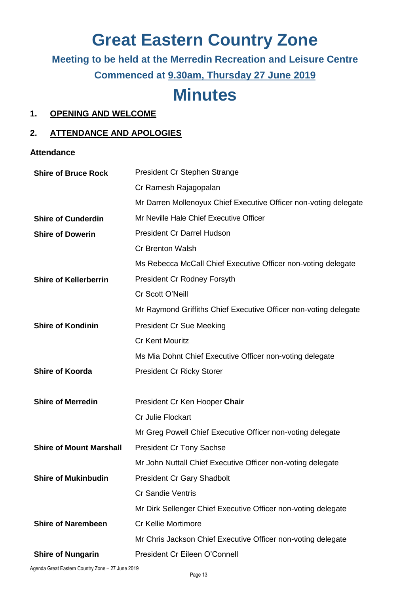## **Great Eastern Country Zone**

**Meeting to be held at the Merredin Recreation and Leisure Centre Commenced at 9.30am, Thursday 27 June 2019**

### **Minutes**

#### <span id="page-3-0"></span>**1. OPENING AND WELCOME**

#### <span id="page-3-1"></span>**2. ATTENDANCE AND APOLOGIES**

**Attendance**

| <b>Shire of Bruce Rock</b>     | President Cr Stephen Strange                                     |  |  |
|--------------------------------|------------------------------------------------------------------|--|--|
|                                | Cr Ramesh Rajagopalan                                            |  |  |
|                                | Mr Darren Mollenoyux Chief Executive Officer non-voting delegate |  |  |
| <b>Shire of Cunderdin</b>      | Mr Neville Hale Chief Executive Officer                          |  |  |
| <b>Shire of Dowerin</b>        | <b>President Cr Darrel Hudson</b>                                |  |  |
|                                | <b>Cr Brenton Walsh</b>                                          |  |  |
|                                | Ms Rebecca McCall Chief Executive Officer non-voting delegate    |  |  |
| <b>Shire of Kellerberrin</b>   | <b>President Cr Rodney Forsyth</b>                               |  |  |
|                                | Cr Scott O'Neill                                                 |  |  |
|                                | Mr Raymond Griffiths Chief Executive Officer non-voting delegate |  |  |
| <b>Shire of Kondinin</b>       | <b>President Cr Sue Meeking</b>                                  |  |  |
|                                | <b>Cr Kent Mouritz</b>                                           |  |  |
|                                | Ms Mia Dohnt Chief Executive Officer non-voting delegate         |  |  |
| <b>Shire of Koorda</b>         | <b>President Cr Ricky Storer</b>                                 |  |  |
|                                |                                                                  |  |  |
| <b>Shire of Merredin</b>       | President Cr Ken Hooper Chair                                    |  |  |
|                                | Cr Julie Flockart                                                |  |  |
|                                | Mr Greg Powell Chief Executive Officer non-voting delegate       |  |  |
| <b>Shire of Mount Marshall</b> | <b>President Cr Tony Sachse</b>                                  |  |  |
|                                | Mr John Nuttall Chief Executive Officer non-voting delegate      |  |  |
| <b>Shire of Mukinbudin</b>     | <b>President Cr Gary Shadbolt</b>                                |  |  |
|                                | <b>Cr Sandie Ventris</b>                                         |  |  |
|                                | Mr Dirk Sellenger Chief Executive Officer non-voting delegate    |  |  |
| <b>Shire of Narembeen</b>      | <b>Cr Kellie Mortimore</b>                                       |  |  |
|                                |                                                                  |  |  |
|                                | Mr Chris Jackson Chief Executive Officer non-voting delegate     |  |  |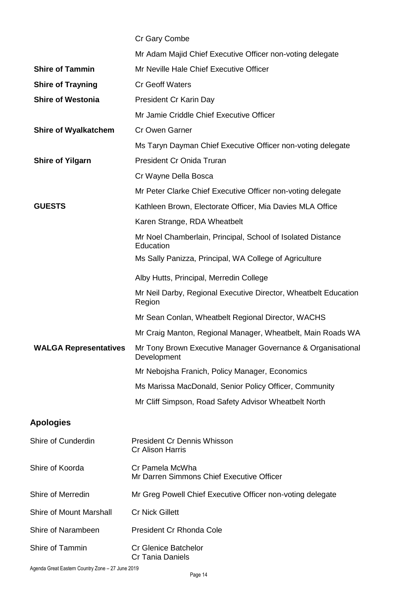|                                | Cr Gary Combe                                                              |
|--------------------------------|----------------------------------------------------------------------------|
|                                | Mr Adam Majid Chief Executive Officer non-voting delegate                  |
| <b>Shire of Tammin</b>         | Mr Neville Hale Chief Executive Officer                                    |
| <b>Shire of Trayning</b>       | <b>Cr Geoff Waters</b>                                                     |
| <b>Shire of Westonia</b>       | President Cr Karin Day                                                     |
|                                | Mr Jamie Criddle Chief Executive Officer                                   |
| <b>Shire of Wyalkatchem</b>    | <b>Cr Owen Garner</b>                                                      |
|                                | Ms Taryn Dayman Chief Executive Officer non-voting delegate                |
| <b>Shire of Yilgarn</b>        | President Cr Onida Truran                                                  |
|                                | Cr Wayne Della Bosca                                                       |
|                                | Mr Peter Clarke Chief Executive Officer non-voting delegate                |
| <b>GUESTS</b>                  | Kathleen Brown, Electorate Officer, Mia Davies MLA Office                  |
|                                | Karen Strange, RDA Wheatbelt                                               |
|                                | Mr Noel Chamberlain, Principal, School of Isolated Distance<br>Education   |
|                                | Ms Sally Panizza, Principal, WA College of Agriculture                     |
|                                | Alby Hutts, Principal, Merredin College                                    |
|                                | Mr Neil Darby, Regional Executive Director, Wheatbelt Education<br>Region  |
|                                | Mr Sean Conlan, Wheatbelt Regional Director, WACHS                         |
|                                | Mr Craig Manton, Regional Manager, Wheatbelt, Main Roads WA                |
| <b>WALGA Representatives</b>   | Mr Tony Brown Executive Manager Governance & Organisational<br>Development |
|                                | Mr Nebojsha Franich, Policy Manager, Economics                             |
|                                | Ms Marissa MacDonald, Senior Policy Officer, Community                     |
|                                | Mr Cliff Simpson, Road Safety Advisor Wheatbelt North                      |
| <b>Apologies</b>               |                                                                            |
| <b>Shire of Cunderdin</b>      | <b>President Cr Dennis Whisson</b><br><b>Cr Alison Harris</b>              |
| Shire of Koorda                | Cr Pamela McWha<br>Mr Darren Simmons Chief Executive Officer               |
| Shire of Merredin              | Mr Greg Powell Chief Executive Officer non-voting delegate                 |
| <b>Shire of Mount Marshall</b> | <b>Cr Nick Gillett</b>                                                     |
| Shire of Narambeen             | President Cr Rhonda Cole                                                   |
| Shire of Tammin                | <b>Cr Glenice Batchelor</b><br>Cr Tania Daniels                            |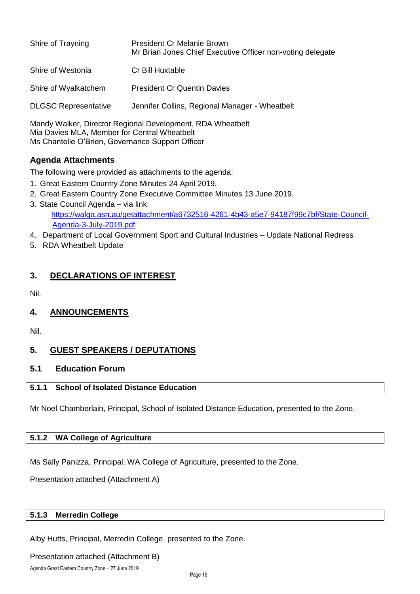| Shire of Trayning           | <b>President Cr Melanie Brown</b><br>Mr Brian Jones Chief Executive Officer non-voting delegate |
|-----------------------------|-------------------------------------------------------------------------------------------------|
| Shire of Westonia           | Cr Bill Huxtable                                                                                |
| Shire of Wyalkatchem        | <b>President Cr Quentin Davies</b>                                                              |
| <b>DLGSC Representative</b> | Jennifer Collins, Regional Manager - Wheatbelt                                                  |

Mandy Walker, Director Regional Development, RDA Wheatbelt Mia Davies MLA, Member for Central Wheatbelt Ms Chantelle O'Brien, Governance Support Officer

#### **Agenda Attachments**

The following were provided as attachments to the agenda:

- 1. Great Eastern Country Zone Minutes 24 April 2019.
- 2. Great Eastern Country Zone Executive Committee Minutes 13 June 2019.
- 3. State Council Agenda via link: [https://walga.asn.au/getattachment/a6732516-4261-4b43-a5e7-94187f99c7bf/State-Council-](https://walga.asn.au/getattachment/a6732516-4261-4b43-a5e7-94187f99c7bf/State-Council-Agenda-3-July-2019.pdf)[Agenda-3-July-2019.pdf](https://walga.asn.au/getattachment/a6732516-4261-4b43-a5e7-94187f99c7bf/State-Council-Agenda-3-July-2019.pdf)
- 4. Department of Local Government Sport and Cultural Industries Update National Redress
- 5. RDA Wheatbelt Update

#### <span id="page-5-0"></span>**3. DECLARATIONS OF INTEREST**

Nil.

<span id="page-5-1"></span>**4. ANNOUNCEMENTS**

Nil.

#### <span id="page-5-2"></span>**5. GUEST SPEAKERS / DEPUTATIONS**

#### <span id="page-5-3"></span>**5.1 Education Forum**

#### **5.1.1 School of Isolated Distance Education**

Mr Noel Chamberlain, Principal, School of Isolated Distance Education, presented to the Zone.

#### <span id="page-5-4"></span>**5.1.2 WA College of Agriculture**

Ms Sally Panizza, Principal, WA College of Agriculture, presented to the Zone.

Presentation attached (Attachment A)

#### <span id="page-5-5"></span>**5.1.3 Merredin College**

Alby Hutts, Principal, Merredin College, presented to the Zone.

Presentation attached (Attachment B)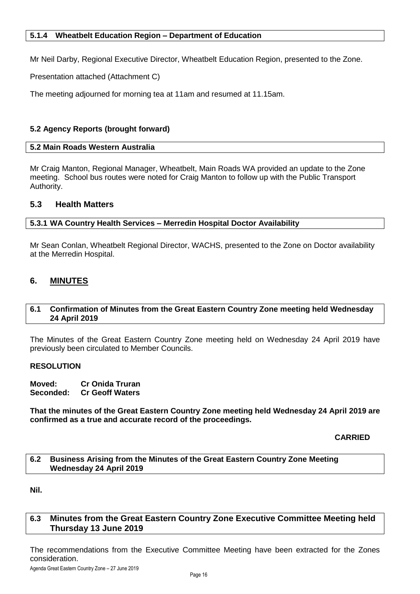<span id="page-6-0"></span>Mr Neil Darby, Regional Executive Director, Wheatbelt Education Region, presented to the Zone.

Presentation attached (Attachment C)

The meeting adjourned for morning tea at 11am and resumed at 11.15am.

#### **5.2 Agency Reports (brought forward)**

#### <span id="page-6-1"></span>**5.2 Main Roads Western Australia**

Mr Craig Manton, Regional Manager, Wheatbelt, Main Roads WA provided an update to the Zone meeting. School bus routes were noted for Craig Manton to follow up with the Public Transport Authority.

#### **5.3 Health Matters**

<span id="page-6-2"></span>**5.3.1 WA Country Health Services – Merredin Hospital Doctor Availability**

Mr Sean Conlan, Wheatbelt Regional Director, WACHS, presented to the Zone on Doctor availability at the Merredin Hospital.

#### <span id="page-6-3"></span>**6. MINUTES**

#### <span id="page-6-4"></span>**6.1 Confirmation of Minutes from the Great Eastern Country Zone meeting held Wednesday 24 April 2019**

The Minutes of the Great Eastern Country Zone meeting held on Wednesday 24 April 2019 have previously been circulated to Member Councils.

#### **RESOLUTION**

**Moved: Cr Onida Truran Seconded: Cr Geoff Waters**

**That the minutes of the Great Eastern Country Zone meeting held Wednesday 24 April 2019 are confirmed as a true and accurate record of the proceedings.**

**CARRIED**

#### <span id="page-6-5"></span>**6.2 Business Arising from the Minutes of the Great Eastern Country Zone Meeting Wednesday 24 April 2019**

**Nil.** 

#### <span id="page-6-6"></span>**6.3 Minutes from the Great Eastern Country Zone Executive Committee Meeting held Thursday 13 June 2019**

The recommendations from the Executive Committee Meeting have been extracted for the Zones consideration.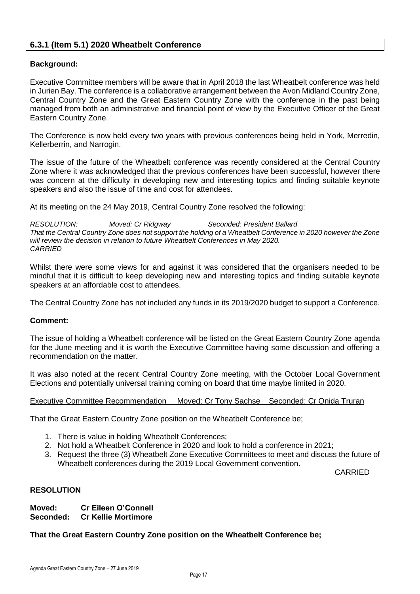#### <span id="page-7-0"></span>**6.3.1 (Item 5.1) 2020 Wheatbelt Conference**

#### **Background:**

Executive Committee members will be aware that in April 2018 the last Wheatbelt conference was held in Jurien Bay. The conference is a collaborative arrangement between the Avon Midland Country Zone, Central Country Zone and the Great Eastern Country Zone with the conference in the past being managed from both an administrative and financial point of view by the Executive Officer of the Great Eastern Country Zone.

The Conference is now held every two years with previous conferences being held in York, Merredin, Kellerberrin, and Narrogin.

The issue of the future of the Wheatbelt conference was recently considered at the Central Country Zone where it was acknowledged that the previous conferences have been successful, however there was concern at the difficulty in developing new and interesting topics and finding suitable keynote speakers and also the issue of time and cost for attendees.

At its meeting on the 24 May 2019, Central Country Zone resolved the following:

*RESOLUTION: Moved: Cr Ridgway Seconded: President Ballard That the Central Country Zone does not support the holding of a Wheatbelt Conference in 2020 however the Zone will review the decision in relation to future Wheatbelt Conferences in May 2020. CARRIED*

Whilst there were some views for and against it was considered that the organisers needed to be mindful that it is difficult to keep developing new and interesting topics and finding suitable keynote speakers at an affordable cost to attendees.

The Central Country Zone has not included any funds in its 2019/2020 budget to support a Conference.

#### **Comment:**

The issue of holding a Wheatbelt conference will be listed on the Great Eastern Country Zone agenda for the June meeting and it is worth the Executive Committee having some discussion and offering a recommendation on the matter.

It was also noted at the recent Central Country Zone meeting, with the October Local Government Elections and potentially universal training coming on board that time maybe limited in 2020.

#### Executive Committee Recommendation Moved: Cr Tony Sachse Seconded: Cr Onida Truran

That the Great Eastern Country Zone position on the Wheatbelt Conference be;

- 1. There is value in holding Wheatbelt Conferences;
- 2. Not hold a Wheatbelt Conference in 2020 and look to hold a conference in 2021;
- 3. Request the three (3) Wheatbelt Zone Executive Committees to meet and discuss the future of Wheatbelt conferences during the 2019 Local Government convention.

CARRIED

#### **RESOLUTION**

**Moved: Cr Eileen O'Connell Seconded: Cr Kellie Mortimore**

#### **That the Great Eastern Country Zone position on the Wheatbelt Conference be;**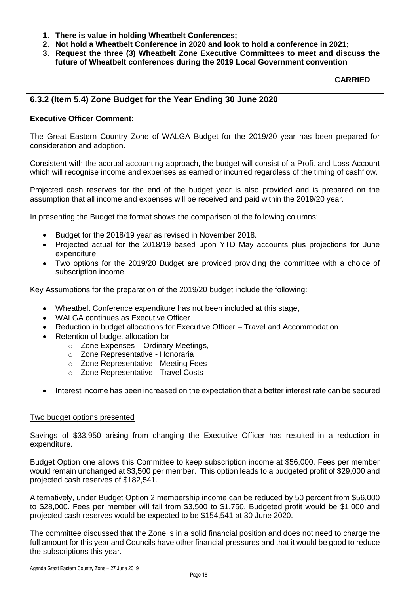- **1. There is value in holding Wheatbelt Conferences;**
- **2. Not hold a Wheatbelt Conference in 2020 and look to hold a conference in 2021;**
- **3. Request the three (3) Wheatbelt Zone Executive Committees to meet and discuss the future of Wheatbelt conferences during the 2019 Local Government convention**

#### **CARRIED**

#### <span id="page-8-0"></span>**6.3.2 (Item 5.4) Zone Budget for the Year Ending 30 June 2020**

#### **Executive Officer Comment:**

The Great Eastern Country Zone of WALGA Budget for the 2019/20 year has been prepared for consideration and adoption.

Consistent with the accrual accounting approach, the budget will consist of a Profit and Loss Account which will recognise income and expenses as earned or incurred regardless of the timing of cashflow.

Projected cash reserves for the end of the budget year is also provided and is prepared on the assumption that all income and expenses will be received and paid within the 2019/20 year.

In presenting the Budget the format shows the comparison of the following columns:

- Budget for the 2018/19 year as revised in November 2018.
- Projected actual for the 2018/19 based upon YTD May accounts plus projections for June expenditure
- Two options for the 2019/20 Budget are provided providing the committee with a choice of subscription income.

Key Assumptions for the preparation of the 2019/20 budget include the following:

- Wheatbelt Conference expenditure has not been included at this stage,
- WALGA continues as Executive Officer
- Reduction in budget allocations for Executive Officer Travel and Accommodation
- Retention of budget allocation for
	- o Zone Expenses Ordinary Meetings,
		- o Zone Representative Honoraria
		- o Zone Representative Meeting Fees
		- o Zone Representative Travel Costs
- Interest income has been increased on the expectation that a better interest rate can be secured

#### Two budget options presented

Savings of \$33,950 arising from changing the Executive Officer has resulted in a reduction in expenditure.

Budget Option one allows this Committee to keep subscription income at \$56,000. Fees per member would remain unchanged at \$3,500 per member. This option leads to a budgeted profit of \$29,000 and projected cash reserves of \$182,541.

Alternatively, under Budget Option 2 membership income can be reduced by 50 percent from \$56,000 to \$28,000. Fees per member will fall from \$3,500 to \$1,750. Budgeted profit would be \$1,000 and projected cash reserves would be expected to be \$154,541 at 30 June 2020.

The committee discussed that the Zone is in a solid financial position and does not need to charge the full amount for this year and Councils have other financial pressures and that it would be good to reduce the subscriptions this year.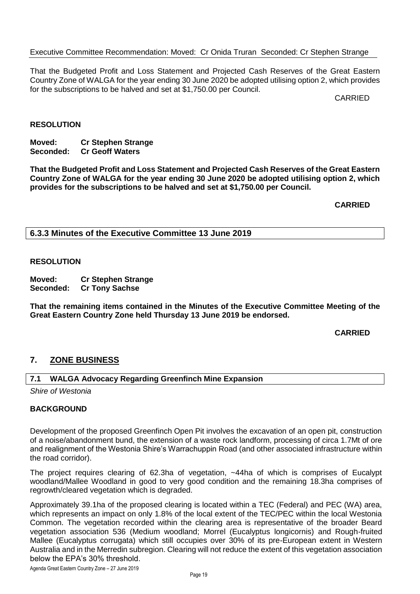#### Executive Committee Recommendation: Moved: Cr Onida Truran Seconded: Cr Stephen Strange

That the Budgeted Profit and Loss Statement and Projected Cash Reserves of the Great Eastern Country Zone of WALGA for the year ending 30 June 2020 be adopted utilising option 2, which provides for the subscriptions to be halved and set at \$1,750.00 per Council.

CARRIED

#### **RESOLUTION**

**Moved: Cr Stephen Strange Seconded: Cr Geoff Waters**

**That the Budgeted Profit and Loss Statement and Projected Cash Reserves of the Great Eastern Country Zone of WALGA for the year ending 30 June 2020 be adopted utilising option 2, which provides for the subscriptions to be halved and set at \$1,750.00 per Council.**

**CARRIED**

<span id="page-9-0"></span>**6.3.3 Minutes of the Executive Committee 13 June 2019**

#### **RESOLUTION**

**Moved: Cr Stephen Strange Cr Tony Sachse** 

**That the remaining items contained in the Minutes of the Executive Committee Meeting of the Great Eastern Country Zone held Thursday 13 June 2019 be endorsed.**

#### **CARRIED**

#### <span id="page-9-1"></span>**7. ZONE BUSINESS**

#### <span id="page-9-2"></span>**7.1 WALGA Advocacy Regarding Greenfinch Mine Expansion**

*Shire of Westonia*

#### **BACKGROUND**

Development of the proposed Greenfinch Open Pit involves the excavation of an open pit, construction of a noise/abandonment bund, the extension of a waste rock landform, processing of circa 1.7Mt of ore and realignment of the Westonia Shire's Warrachuppin Road (and other associated infrastructure within the road corridor).

The project requires clearing of 62.3ha of vegetation, ~44ha of which is comprises of Eucalypt woodland/Mallee Woodland in good to very good condition and the remaining 18.3ha comprises of regrowth/cleared vegetation which is degraded.

Approximately 39.1ha of the proposed clearing is located within a TEC (Federal) and PEC (WA) area, which represents an impact on only 1.8% of the local extent of the TEC/PEC within the local Westonia Common. The vegetation recorded within the clearing area is representative of the broader Beard vegetation association 536 (Medium woodland; Morrel (Eucalyptus longicornis) and Rough-fruited Mallee (Eucalyptus corrugata) which still occupies over 30% of its pre-European extent in Western Australia and in the Merredin subregion. Clearing will not reduce the extent of this vegetation association below the EPA's 30% threshold.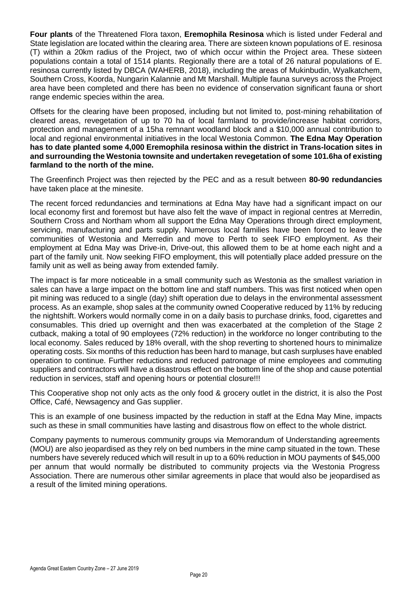**Four plants** of the Threatened Flora taxon, **Eremophila Resinosa** which is listed under Federal and State legislation are located within the clearing area. There are sixteen known populations of E. resinosa (T) within a 20km radius of the Project, two of which occur within the Project area. These sixteen populations contain a total of 1514 plants. Regionally there are a total of 26 natural populations of E. resinosa currently listed by DBCA (WAHERB, 2018), including the areas of Mukinbudin, Wyalkatchem, Southern Cross, Koorda, Nungarin Kalannie and Mt Marshall. Multiple fauna surveys across the Project area have been completed and there has been no evidence of conservation significant fauna or short range endemic species within the area.

Offsets for the clearing have been proposed, including but not limited to, post-mining rehabilitation of cleared areas, revegetation of up to 70 ha of local farmland to provide/increase habitat corridors, protection and management of a 15ha remnant woodland block and a \$10,000 annual contribution to local and regional environmental initiatives in the local Westonia Common. **The Edna May Operation has to date planted some 4,000 Eremophila resinosa within the district in Trans-location sites in and surrounding the Westonia townsite and undertaken revegetation of some 101.6ha of existing farmland to the north of the mine.**

The Greenfinch Project was then rejected by the PEC and as a result between **80-90 redundancies** have taken place at the minesite.

The recent forced redundancies and terminations at Edna May have had a significant impact on our local economy first and foremost but have also felt the wave of impact in regional centres at Merredin, Southern Cross and Northam whom all support the Edna May Operations through direct employment, servicing, manufacturing and parts supply. Numerous local families have been forced to leave the communities of Westonia and Merredin and move to Perth to seek FIFO employment. As their employment at Edna May was Drive-in, Drive-out, this allowed them to be at home each night and a part of the family unit. Now seeking FIFO employment, this will potentially place added pressure on the family unit as well as being away from extended family.

The impact is far more noticeable in a small community such as Westonia as the smallest variation in sales can have a large impact on the bottom line and staff numbers. This was first noticed when open pit mining was reduced to a single (day) shift operation due to delays in the environmental assessment process. As an example, shop sales at the community owned Cooperative reduced by 11% by reducing the nightshift. Workers would normally come in on a daily basis to purchase drinks, food, cigarettes and consumables. This dried up overnight and then was exacerbated at the completion of the Stage 2 cutback, making a total of 90 employees (72% reduction) in the workforce no longer contributing to the local economy. Sales reduced by 18% overall, with the shop reverting to shortened hours to minimalize operating costs. Six months of this reduction has been hard to manage, but cash surpluses have enabled operation to continue. Further reductions and reduced patronage of mine employees and commuting suppliers and contractors will have a disastrous effect on the bottom line of the shop and cause potential reduction in services, staff and opening hours or potential closure!!!

This Cooperative shop not only acts as the only food & grocery outlet in the district, it is also the Post Office, Café, Newsagency and Gas supplier.

This is an example of one business impacted by the reduction in staff at the Edna May Mine, impacts such as these in small communities have lasting and disastrous flow on effect to the whole district.

Company payments to numerous community groups via Memorandum of Understanding agreements (MOU) are also jeopardised as they rely on bed numbers in the mine camp situated in the town. These numbers have severely reduced which will result in up to a 60% reduction in MOU payments of \$45,000 per annum that would normally be distributed to community projects via the Westonia Progress Association. There are numerous other similar agreements in place that would also be jeopardised as a result of the limited mining operations.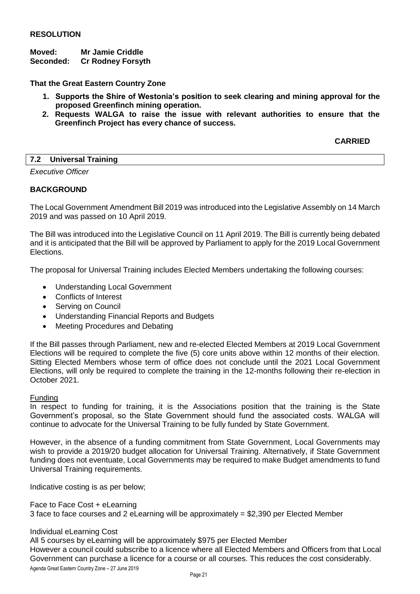#### **RESOLUTION**

#### **Moved: Mr Jamie Criddle**

**Seconded: Cr Rodney Forsyth**

**That the Great Eastern Country Zone**

- **1. Supports the Shire of Westonia's position to seek clearing and mining approval for the proposed Greenfinch mining operation.**
- **2. Requests WALGA to raise the issue with relevant authorities to ensure that the Greenfinch Project has every chance of success.**

#### **CARRIED**

#### <span id="page-11-0"></span>**7.2 Universal Training**

*Executive Officer*

#### **BACKGROUND**

The Local Government Amendment Bill 2019 was introduced into the Legislative Assembly on 14 March 2019 and was passed on 10 April 2019.

The Bill was introduced into the Legislative Council on 11 April 2019. The Bill is currently being debated and it is anticipated that the Bill will be approved by Parliament to apply for the 2019 Local Government Elections.

The proposal for Universal Training includes Elected Members undertaking the following courses:

- Understanding Local Government
- Conflicts of Interest
- Serving on Council
- Understanding Financial Reports and Budgets
- Meeting Procedures and Debating

If the Bill passes through Parliament, new and re-elected Elected Members at 2019 Local Government Elections will be required to complete the five (5) core units above within 12 months of their election. Sitting Elected Members whose term of office does not conclude until the 2021 Local Government Elections, will only be required to complete the training in the 12-months following their re-election in October 2021.

#### Funding

In respect to funding for training, it is the Associations position that the training is the State Government's proposal, so the State Government should fund the associated costs. WALGA will continue to advocate for the Universal Training to be fully funded by State Government.

However, in the absence of a funding commitment from State Government, Local Governments may wish to provide a 2019/20 budget allocation for Universal Training. Alternatively, if State Government funding does not eventuate, Local Governments may be required to make Budget amendments to fund Universal Training requirements.

Indicative costing is as per below;

Face to Face Cost + eLearning 3 face to face courses and 2 eLearning will be approximately = \$2,390 per Elected Member

Individual eLearning Cost

Agenda Great Eastern Country Zone – 27 June 2019 All 5 courses by eLearning will be approximately \$975 per Elected Member However a council could subscribe to a licence where all Elected Members and Officers from that Local Government can purchase a licence for a course or all courses. This reduces the cost considerably.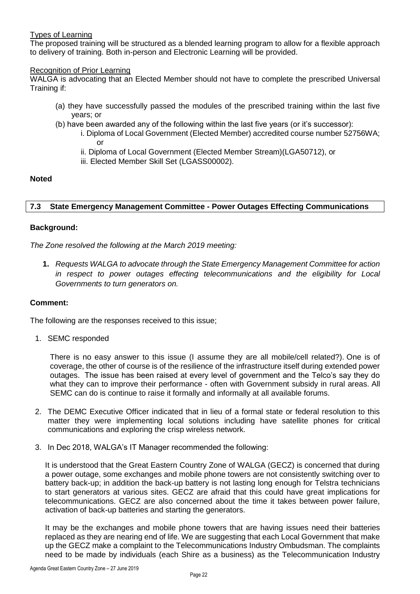#### Types of Learning

The proposed training will be structured as a blended learning program to allow for a flexible approach to delivery of training. Both in-person and Electronic Learning will be provided.

#### Recognition of Prior Learning

WALGA is advocating that an Elected Member should not have to complete the prescribed Universal Training if:

- (a) they have successfully passed the modules of the prescribed training within the last five years; or
- (b) have been awarded any of the following within the last five years (or it's successor):
	- i. Diploma of Local Government (Elected Member) accredited course number 52756WA; or
	- ii. Diploma of Local Government (Elected Member Stream)(LGA50712), or
	- iii. Elected Member Skill Set (LGASS00002).

#### **Noted**

#### <span id="page-12-0"></span>**7.3 State Emergency Management Committee - Power Outages Effecting Communications**

#### **Background:**

*The Zone resolved the following at the March 2019 meeting:*

**1.** *Requests WALGA to advocate through the State Emergency Management Committee for action in respect to power outages effecting telecommunications and the eligibility for Local Governments to turn generators on.*

#### **Comment:**

The following are the responses received to this issue;

1. SEMC responded

There is no easy answer to this issue (I assume they are all mobile/cell related?). One is of coverage, the other of course is of the resilience of the infrastructure itself during extended power outages. The issue has been raised at every level of government and the Telco's say they do what they can to improve their performance - often with Government subsidy in rural areas. All SEMC can do is continue to raise it formally and informally at all available forums.

- 2. The DEMC Executive Officer indicated that in lieu of a formal state or federal resolution to this matter they were implementing local solutions including have satellite phones for critical communications and exploring the crisp wireless network.
- 3. In Dec 2018, WALGA's IT Manager recommended the following:

It is understood that the Great Eastern Country Zone of WALGA (GECZ) is concerned that during a power outage, some exchanges and mobile phone towers are not consistently switching over to battery back-up; in addition the back-up battery is not lasting long enough for Telstra technicians to start generators at various sites. GECZ are afraid that this could have great implications for telecommunications. GECZ are also concerned about the time it takes between power failure, activation of back-up batteries and starting the generators.

It may be the exchanges and mobile phone towers that are having issues need their batteries replaced as they are nearing end of life. We are suggesting that each Local Government that make up the GECZ make a complaint to the Telecommunications Industry Ombudsman. The complaints need to be made by individuals (each Shire as a business) as the Telecommunication Industry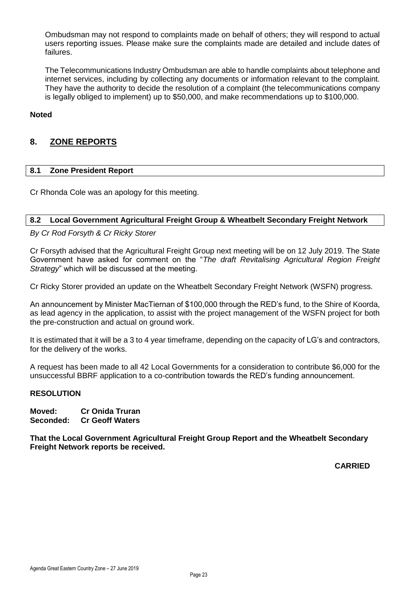Ombudsman may not respond to complaints made on behalf of others; they will respond to actual users reporting issues. Please make sure the complaints made are detailed and include dates of failures.

The Telecommunications Industry Ombudsman are able to handle complaints about telephone and internet services, including by collecting any documents or information relevant to the complaint. They have the authority to decide the resolution of a complaint (the telecommunications company is legally obliged to implement) up to \$50,000, and make recommendations up to \$100,000.

#### **Noted**

#### <span id="page-13-0"></span>**8. ZONE REPORTS**

#### <span id="page-13-1"></span>**8.1 Zone President Report**

Cr Rhonda Cole was an apology for this meeting.

#### <span id="page-13-2"></span>**8.2 Local Government Agricultural Freight Group & Wheatbelt Secondary Freight Network**

#### *By Cr Rod Forsyth & Cr Ricky Storer*

Cr Forsyth advised that the Agricultural Freight Group next meeting will be on 12 July 2019. The State Government have asked for comment on the "*The draft Revitalising Agricultural Region Freight Strategy*" which will be discussed at the meeting.

Cr Ricky Storer provided an update on the Wheatbelt Secondary Freight Network (WSFN) progress.

An announcement by Minister MacTiernan of \$100,000 through the RED's fund, to the Shire of Koorda, as lead agency in the application, to assist with the project management of the WSFN project for both the pre-construction and actual on ground work.

It is estimated that it will be a 3 to 4 year timeframe, depending on the capacity of LG's and contractors, for the delivery of the works.

A request has been made to all 42 Local Governments for a consideration to contribute \$6,000 for the unsuccessful BBRF application to a co-contribution towards the RED's funding announcement.

#### **RESOLUTION**

**Moved: Cr Onida Truran Seconded: Cr Geoff Waters**

**That the Local Government Agricultural Freight Group Report and the Wheatbelt Secondary Freight Network reports be received.**

**CARRIED**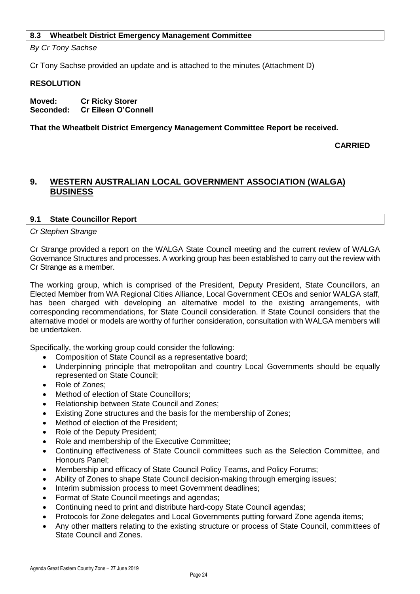#### <span id="page-14-0"></span>**8.3 Wheatbelt District Emergency Management Committee**

*By Cr Tony Sachse*

Cr Tony Sachse provided an update and is attached to the minutes (Attachment D)

#### **RESOLUTION**

**Moved: Cr Ricky Storer Seconded: Cr Eileen O'Connell**

**That the Wheatbelt District Emergency Management Committee Report be received.**

**CARRIED**

#### <span id="page-14-1"></span>**9. WESTERN AUSTRALIAN LOCAL GOVERNMENT ASSOCIATION (WALGA) BUSINESS**

#### <span id="page-14-2"></span>**9.1 State Councillor Report**

#### *Cr Stephen Strange*

Cr Strange provided a report on the WALGA State Council meeting and the current review of WALGA Governance Structures and processes. A working group has been established to carry out the review with Cr Strange as a member.

The working group, which is comprised of the President, Deputy President, State Councillors, an Elected Member from WA Regional Cities Alliance, Local Government CEOs and senior WALGA staff, has been charged with developing an alternative model to the existing arrangements, with corresponding recommendations, for State Council consideration. If State Council considers that the alternative model or models are worthy of further consideration, consultation with WALGA members will be undertaken.

Specifically, the working group could consider the following:

- Composition of State Council as a representative board;
- Underpinning principle that metropolitan and country Local Governments should be equally represented on State Council;
- Role of Zones:
- Method of election of State Councillors;
- Relationship between State Council and Zones;
- Existing Zone structures and the basis for the membership of Zones:
- Method of election of the President;
- Role of the Deputy President;
- Role and membership of the Executive Committee;
- Continuing effectiveness of State Council committees such as the Selection Committee, and Honours Panel;
- Membership and efficacy of State Council Policy Teams, and Policy Forums;
- Ability of Zones to shape State Council decision-making through emerging issues;
- Interim submission process to meet Government deadlines;
- Format of State Council meetings and agendas;
- Continuing need to print and distribute hard-copy State Council agendas;
- Protocols for Zone delegates and Local Governments putting forward Zone agenda items;
- Any other matters relating to the existing structure or process of State Council, committees of State Council and Zones.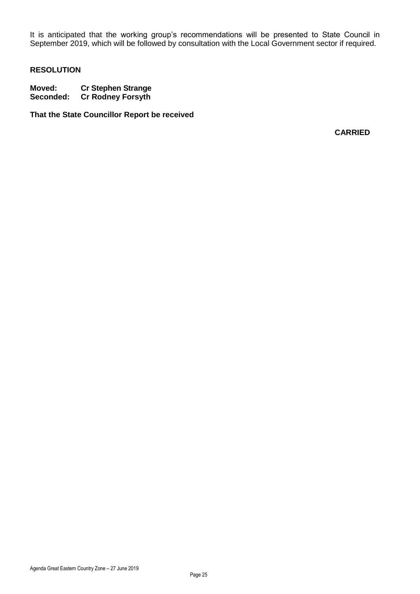It is anticipated that the working group's recommendations will be presented to State Council in September 2019, which will be followed by consultation with the Local Government sector if required.

#### **RESOLUTION**

**Moved: Cr Stephen Strange Cr Rodney Forsyth** 

**That the State Councillor Report be received**

**CARRIED**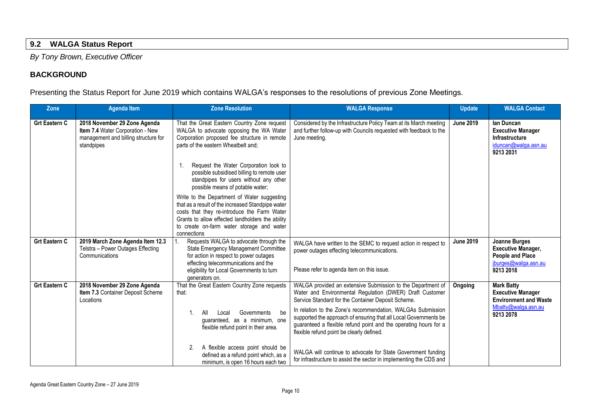#### **9.2 WALGA Status Report**

*By Tony Brown, Executive Officer*

#### **BACKGROUND**

Presenting the Status Report for June 2019 which contains WALGA's responses to the resolutions of previous Zone Meetings.

<span id="page-16-0"></span>

| Zone                 | <b>Agenda Item</b>                                                                                                     | <b>Zone Resolution</b>                                                                                                                                                                                                                                          | <b>WALGA Response</b>                                                                                                                                                                                                                            | <b>Update</b>    | <b>WALGA Contact</b>                                                                                              |
|----------------------|------------------------------------------------------------------------------------------------------------------------|-----------------------------------------------------------------------------------------------------------------------------------------------------------------------------------------------------------------------------------------------------------------|--------------------------------------------------------------------------------------------------------------------------------------------------------------------------------------------------------------------------------------------------|------------------|-------------------------------------------------------------------------------------------------------------------|
| <b>Grt Eastern C</b> | 2018 November 29 Zone Agenda<br>Item 7.4 Water Corporation - New<br>management and billing structure for<br>standpipes | That the Great Eastern Country Zone request<br>WALGA to advocate opposing the WA Water<br>Corporation proposed fee structure in remote<br>parts of the eastern Wheatbelt and:                                                                                   | Considered by the Infrastructure Policy Team at its March meeting<br>and further follow-up with Councils requested with feedback to the<br>June meeting.                                                                                         | <b>June 2019</b> | lan Duncan<br><b>Executive Manager</b><br>Infrastructure<br>iduncan@walga.asn.au<br>9213 2031                     |
|                      |                                                                                                                        | Request the Water Corporation look to<br>possible subsidised billing to remote user<br>standpipes for users without any other<br>possible means of potable water;                                                                                               |                                                                                                                                                                                                                                                  |                  |                                                                                                                   |
|                      |                                                                                                                        | Write to the Department of Water suggesting<br>that as a result of the increased Standpipe water<br>costs that they re-introduce the Farm Water<br>Grants to allow effected landholders the ability<br>to create on-farm water storage and water<br>connections |                                                                                                                                                                                                                                                  |                  |                                                                                                                   |
| <b>Grt Eastern C</b> | 2019 March Zone Agenda Item 12.3<br>Telstra - Power Outages Effecting<br>Communications                                | Requests WALGA to advocate through the<br>State Emergency Management Committee<br>for action in respect to power outages<br>effecting telecommunications and the                                                                                                | WALGA have written to the SEMC to request action in respect to<br>power outages effecting telecommunications.                                                                                                                                    | <b>June 2019</b> | Joanne Burges<br><b>Executive Manager,</b><br><b>People and Place</b><br>iburges@walaa.sn.au                      |
|                      |                                                                                                                        | eligibility for Local Governments to turn<br>generators on.                                                                                                                                                                                                     | Please refer to agenda item on this issue.                                                                                                                                                                                                       |                  | 9213 2018                                                                                                         |
| <b>Grt Eastern C</b> | 2018 November 29 Zone Agenda<br>Item 7.3 Container Deposit Scheme<br>Locations                                         | That the Great Eastern Country Zone requests<br>that:                                                                                                                                                                                                           | WALGA provided an extensive Submission to the Department of<br>Water and Environmental Regulation (DWER) Draft Customer<br>Service Standard for the Container Deposit Scheme.                                                                    | Ongoing          | <b>Mark Batty</b><br><b>Executive Manager</b><br><b>Environment and Waste</b><br>Mbatty@walga.asn.au<br>9213 2078 |
|                      |                                                                                                                        | All<br>Governments<br>1.<br>be<br>Local<br>guaranteed, as a minimum, one<br>flexible refund point in their area.                                                                                                                                                | In relation to the Zone's recommendation. WALGAs Submission<br>supported the approach of ensuring that all Local Governments be<br>guaranteed a flexible refund point and the operating hours for a<br>flexible refund point be clearly defined. |                  |                                                                                                                   |
|                      |                                                                                                                        | A flexible access point should be<br>2.<br>defined as a refund point which, as a<br>minimum, is open 16 hours each two                                                                                                                                          | WALGA will continue to advocate for State Government funding<br>for infrastructure to assist the sector in implementing the CDS and                                                                                                              |                  |                                                                                                                   |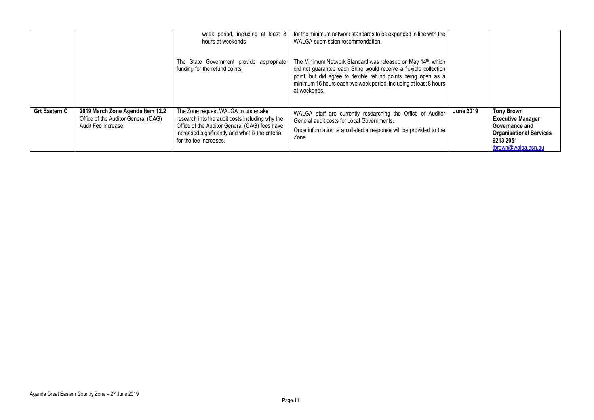|                      |                                                                                               | week period, including at least 8<br>hours at weekends<br>The State Government provide appropriate<br>funding for the refund points.                                                                                  | for the minimum network standards to be expanded in line with the<br>WALGA submission recommendation.<br>The Minimum Network Standard was released on May 14 <sup>th</sup> , which<br>did not guarantee each Shire would receive a flexible collection<br>point, but did agree to flexible refund points being open as a<br>minimum 16 hours each two week period, including at least 8 hours<br>at weekends. |                  |                                                                                                                                       |
|----------------------|-----------------------------------------------------------------------------------------------|-----------------------------------------------------------------------------------------------------------------------------------------------------------------------------------------------------------------------|---------------------------------------------------------------------------------------------------------------------------------------------------------------------------------------------------------------------------------------------------------------------------------------------------------------------------------------------------------------------------------------------------------------|------------------|---------------------------------------------------------------------------------------------------------------------------------------|
| <b>Grt Eastern C</b> | 2019 March Zone Agenda Item 12.2<br>Office of the Auditor General (OAG)<br>Audit Fee Increase | The Zone request WALGA to undertake<br>research into the audit costs including why the<br>Office of the Auditor General (OAG) fees have<br>increased significantly and what is the criteria<br>for the fee increases. | WALGA staff are currently researching the Office of Auditor<br>General audit costs for Local Governments.<br>Once information is a collated a response will be provided to the<br>Zone                                                                                                                                                                                                                        | <b>June 2019</b> | <b>Tony Brown</b><br><b>Executive Manager</b><br>Governance and<br><b>Organisational Services</b><br>9213 2051<br>tbrown@walga.asn.au |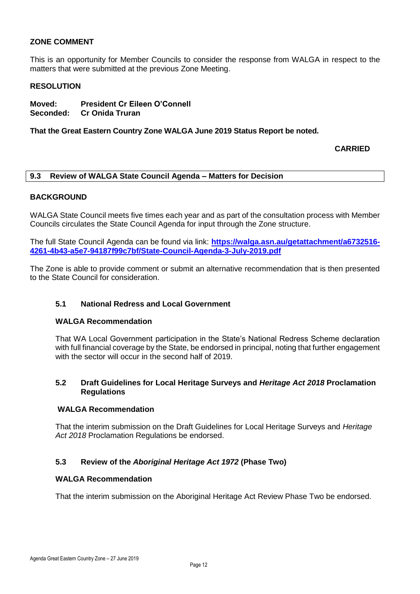#### **ZONE COMMENT**

This is an opportunity for Member Councils to consider the response from WALGA in respect to the matters that were submitted at the previous Zone Meeting.

#### **RESOLUTION**

**Moved: President Cr Eileen O'Connell Seconded: Cr Onida Truran**

**That the Great Eastern Country Zone WALGA June 2019 Status Report be noted.**

**CARRIED**

#### <span id="page-18-0"></span>**9.3 Review of WALGA State Council Agenda – Matters for Decision**

#### **BACKGROUND**

WALGA State Council meets five times each year and as part of the consultation process with Member Councils circulates the State Council Agenda for input through the Zone structure.

The full State Council Agenda can be found via link: **[https://walga.asn.au/getattachment/a6732516-](https://walga.asn.au/getattachment/a6732516-4261-4b43-a5e7-94187f99c7bf/State-Council-Agenda-3-July-2019.pdf) [4261-4b43-a5e7-94187f99c7bf/State-Council-Agenda-3-July-2019.pdf](https://walga.asn.au/getattachment/a6732516-4261-4b43-a5e7-94187f99c7bf/State-Council-Agenda-3-July-2019.pdf)**

The Zone is able to provide comment or submit an alternative recommendation that is then presented to the State Council for consideration.

#### **5.1 National Redress and Local Government**

#### **WALGA Recommendation**

That WA Local Government participation in the State's National Redress Scheme declaration with full financial coverage by the State, be endorsed in principal, noting that further engagement with the sector will occur in the second half of 2019.

#### **5.2 Draft Guidelines for Local Heritage Surveys and** *Heritage Act 2018* **Proclamation Regulations**

#### **WALGA Recommendation**

That the interim submission on the Draft Guidelines for Local Heritage Surveys and *Heritage Act 2018* Proclamation Regulations be endorsed.

#### **5.3 Review of the** *Aboriginal Heritage Act 1972* **(Phase Two)**

#### **WALGA Recommendation**

That the interim submission on the Aboriginal Heritage Act Review Phase Two be endorsed.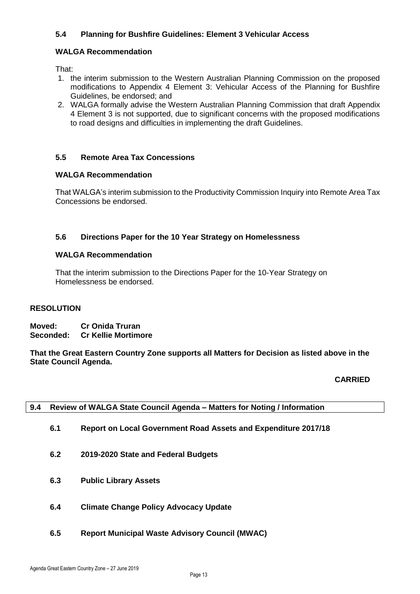#### **5.4 Planning for Bushfire Guidelines: Element 3 Vehicular Access**

#### **WALGA Recommendation**

That:

- 1. the interim submission to the Western Australian Planning Commission on the proposed modifications to Appendix 4 Element 3: Vehicular Access of the Planning for Bushfire Guidelines, be endorsed; and
- 2. WALGA formally advise the Western Australian Planning Commission that draft Appendix 4 Element 3 is not supported, due to significant concerns with the proposed modifications to road designs and difficulties in implementing the draft Guidelines.

#### **5.5 Remote Area Tax Concessions**

#### **WALGA Recommendation**

That WALGA's interim submission to the Productivity Commission Inquiry into Remote Area Tax Concessions be endorsed.

#### **5.6 Directions Paper for the 10 Year Strategy on Homelessness**

#### **WALGA Recommendation**

That the interim submission to the Directions Paper for the 10-Year Strategy on Homelessness be endorsed.

#### **RESOLUTION**

**Moved: Cr Onida Truran Seconded: Cr Kellie Mortimore**

**That the Great Eastern Country Zone supports all Matters for Decision as listed above in the State Council Agenda.**

#### **CARRIED**

<span id="page-19-0"></span>

| 9.4 Review of WALGA State Council Agenda - Matters for Noting / Information |  |
|-----------------------------------------------------------------------------|--|
|                                                                             |  |

- **6.1 Report on Local Government Road Assets and Expenditure 2017/18**
- **6.2 2019-2020 State and Federal Budgets**
- **6.3 Public Library Assets**
- **6.4 Climate Change Policy Advocacy Update**
- **6.5 Report Municipal Waste Advisory Council (MWAC)**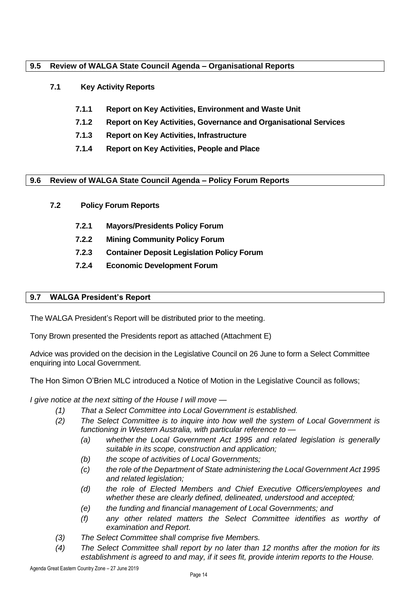#### <span id="page-20-0"></span>**9.5 Review of WALGA State Council Agenda – Organisational Reports**

#### **7.1 Key Activity Reports**

- **7.1.1 Report on Key Activities, Environment and Waste Unit**
- **7.1.2 Report on Key Activities, Governance and Organisational Services**
- **7.1.3 Report on Key Activities, Infrastructure**
- **7.1.4 Report on Key Activities, People and Place**

#### <span id="page-20-1"></span>**9.6 Review of WALGA State Council Agenda – Policy Forum Reports**

- **7.2 Policy Forum Reports**
	- **7.2.1 Mayors/Presidents Policy Forum**
	- **7.2.2 Mining Community Policy Forum**
	- **7.2.3 Container Deposit Legislation Policy Forum**
	- **7.2.4 Economic Development Forum**

#### <span id="page-20-2"></span>**9.7 WALGA President's Report**

The WALGA President's Report will be distributed prior to the meeting.

Tony Brown presented the Presidents report as attached (Attachment E)

Advice was provided on the decision in the Legislative Council on 26 June to form a Select Committee enquiring into Local Government.

The Hon Simon O'Brien MLC introduced a Notice of Motion in the Legislative Council as follows;

*I give notice at the next sitting of the House I will move —*

- *(1) That a Select Committee into Local Government is established.*
- *(2) The Select Committee is to inquire into how well the system of Local Government is functioning in Western Australia, with particular reference to —*
	- *(a) whether the Local Government Act 1995 and related legislation is generally suitable in its scope, construction and application;*
	- *(b) the scope of activities of Local Governments;*
	- *(c) the role of the Department of State administering the Local Government Act 1995 and related legislation;*
	- *(d) the role of Elected Members and Chief Executive Officers/employees and whether these are clearly defined, delineated, understood and accepted;*
	- *(e) the funding and financial management of Local Governments; and*
	- *(f) any other related matters the Select Committee identifies as worthy of examination and Report.*
- *(3) The Select Committee shall comprise five Members.*
- *(4) The Select Committee shall report by no later than 12 months after the motion for its establishment is agreed to and may, if it sees fit, provide interim reports to the House.*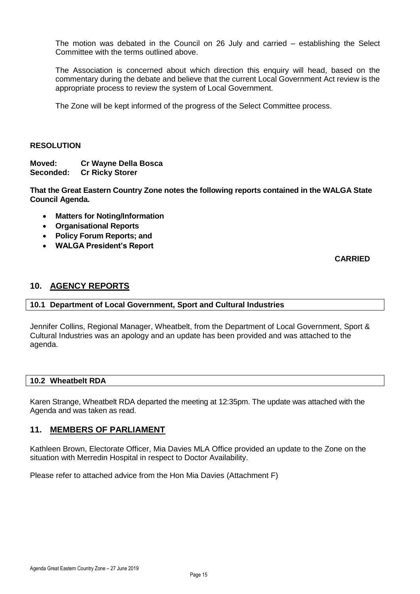The motion was debated in the Council on 26 July and carried – establishing the Select Committee with the terms outlined above.

The Association is concerned about which direction this enquiry will head, based on the commentary during the debate and believe that the current Local Government Act review is the appropriate process to review the system of Local Government.

The Zone will be kept informed of the progress of the Select Committee process.

#### **RESOLUTION**

**Moved: Cr Wayne Della Bosca Seconded: Cr Ricky Storer**

**That the Great Eastern Country Zone notes the following reports contained in the WALGA State Council Agenda.**

- **Matters for Noting/Information**
- **Organisational Reports**
- **Policy Forum Reports; and**
- **WALGA President's Report**

**CARRIED**

#### <span id="page-21-0"></span>**10. AGENCY REPORTS**

#### <span id="page-21-1"></span>**10.1 Department of Local Government, Sport and Cultural Industries**

Jennifer Collins, Regional Manager, Wheatbelt, from the Department of Local Government, Sport & Cultural Industries was an apology and an update has been provided and was attached to the agenda.

#### <span id="page-21-2"></span>**10.2 Wheatbelt RDA**

Karen Strange, Wheatbelt RDA departed the meeting at 12:35pm. The update was attached with the Agenda and was taken as read.

#### <span id="page-21-3"></span>**11. MEMBERS OF PARLIAMENT**

Kathleen Brown, Electorate Officer, Mia Davies MLA Office provided an update to the Zone on the situation with Merredin Hospital in respect to Doctor Availability.

Please refer to attached advice from the Hon Mia Davies (Attachment F)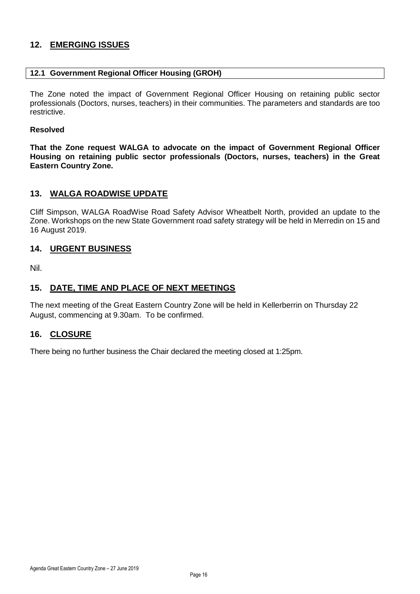#### <span id="page-22-0"></span>**12. EMERGING ISSUES**

#### <span id="page-22-1"></span>**12.1 Government Regional Officer Housing (GROH)**

The Zone noted the impact of Government Regional Officer Housing on retaining public sector professionals (Doctors, nurses, teachers) in their communities. The parameters and standards are too restrictive.

#### **Resolved**

**That the Zone request WALGA to advocate on the impact of Government Regional Officer Housing on retaining public sector professionals (Doctors, nurses, teachers) in the Great Eastern Country Zone.**

#### <span id="page-22-2"></span>**13. WALGA ROADWISE UPDATE**

Cliff Simpson, WALGA RoadWise Road Safety Advisor Wheatbelt North, provided an update to the Zone. Workshops on the new State Government road safety strategy will be held in Merredin on 15 and 16 August 2019.

#### <span id="page-22-3"></span>**14. URGENT BUSINESS**

Nil.

#### <span id="page-22-4"></span>**15. DATE, TIME AND PLACE OF NEXT MEETINGS**

The next meeting of the Great Eastern Country Zone will be held in Kellerberrin on Thursday 22 August, commencing at 9.30am. To be confirmed.

#### <span id="page-22-5"></span>**16. CLOSURE**

There being no further business the Chair declared the meeting closed at 1:25pm.